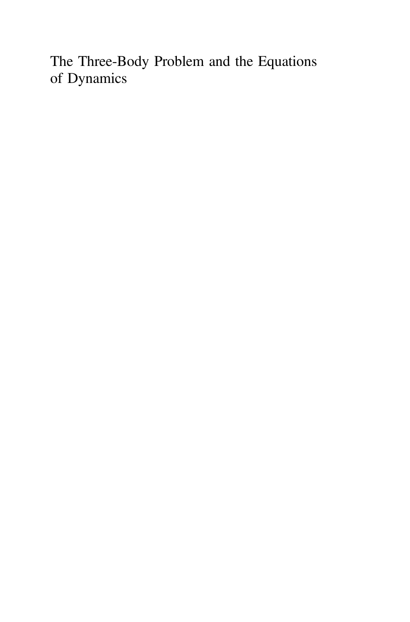The Three-Body Problem and the Equations of Dynamics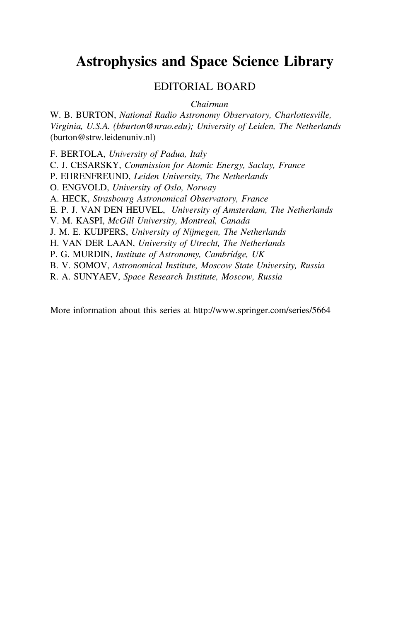# Astrophysics and Space Science Library

# EDITORIAL BOARD

Chairman

W. B. BURTON, National Radio Astronomy Observatory, Charlottesville, Virginia, U.S.A. (bburton@nrao.edu); University of Leiden, The Netherlands (burton@strw.leidenuniv.nl)

F. BERTOLA, University of Padua, Italy C. J. CESARSKY, Commission for Atomic Energy, Saclay, France P. EHRENFREUND, Leiden University, The Netherlands O. ENGVOLD, University of Oslo, Norway A. HECK, Strasbourg Astronomical Observatory, France E. P. J. VAN DEN HEUVEL, University of Amsterdam, The Netherlands V. M. KASPI, McGill University, Montreal, Canada J. M. E. KUIJPERS, University of Nijmegen, The Netherlands H. VAN DER LAAN, University of Utrecht, The Netherlands P. G. MURDIN, Institute of Astronomy, Cambridge, UK B. V. SOMOV, Astronomical Institute, Moscow State University, Russia R. A. SUNYAEV, Space Research Institute, Moscow, Russia

More information about this series at<http://www.springer.com/series/5664>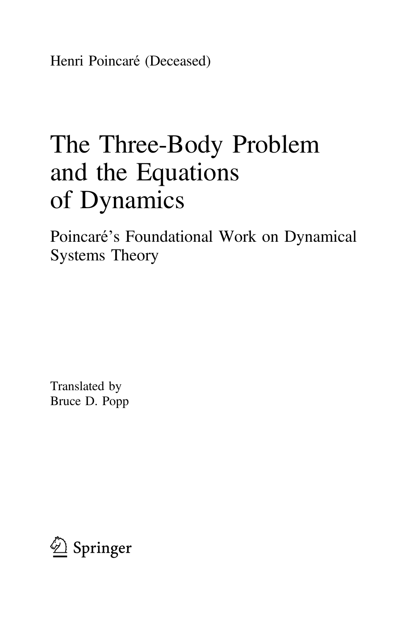Henri Poincaré (Deceased)

# The Three-Body Problem and the Equations of Dynamics

Poincaré's Foundational Work on Dynamical Systems Theory

Translated by Bruce D. Popp

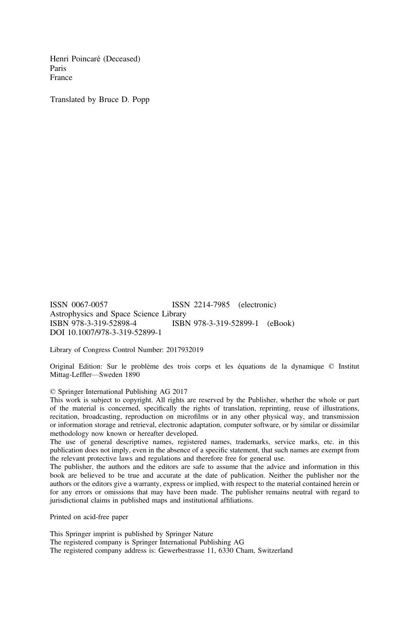Henri Poincaré (Deceased) Paris France

Translated by Bruce D. Popp

ISSN 0067-0057 ISSN 2214-7985 (electronic) Astrophysics and Space Science Library<br>ISBN 978-3-319-52898-4 ISBN ISBN 978-3-319-52899-1 (eBook) DOI 10.1007/978-3-319-52899-1

Library of Congress Control Number: 2017932019

Original Edition: Sur le problème des trois corps et les équations de la dynamique © Institut Mittag-Leffler—Sweden 1890

#### © Springer International Publishing AG 2017

This work is subject to copyright. All rights are reserved by the Publisher, whether the whole or part of the material is concerned, specifically the rights of translation, reprinting, reuse of illustrations, recitation, broadcasting, reproduction on microfilms or in any other physical way, and transmission or information storage and retrieval, electronic adaptation, computer software, or by similar or dissimilar methodology now known or hereafter developed.

The use of general descriptive names, registered names, trademarks, service marks, etc. in this publication does not imply, even in the absence of a specific statement, that such names are exempt from the relevant protective laws and regulations and therefore free for general use.

The publisher, the authors and the editors are safe to assume that the advice and information in this book are believed to be true and accurate at the date of publication. Neither the publisher nor the authors or the editors give a warranty, express or implied, with respect to the material contained herein or for any errors or omissions that may have been made. The publisher remains neutral with regard to jurisdictional claims in published maps and institutional affiliations.

Printed on acid-free paper

This Springer imprint is published by Springer Nature The registered company is Springer International Publishing AG The registered company address is: Gewerbestrasse 11, 6330 Cham, Switzerland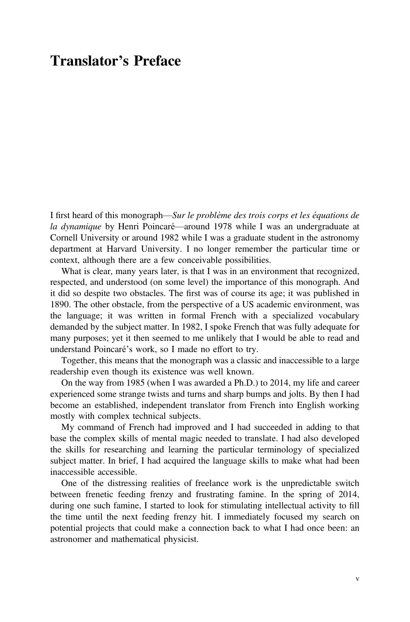# Translator's Preface

I first heard of this monograph—Sur le problème des trois corps et les équations de la dynamique by Henri Poincaré—around 1978 while I was an undergraduate at Cornell University or around 1982 while I was a graduate student in the astronomy department at Harvard University. I no longer remember the particular time or context, although there are a few conceivable possibilities.

What is clear, many years later, is that I was in an environment that recognized, respected, and understood (on some level) the importance of this monograph. And it did so despite two obstacles. The first was of course its age; it was published in 1890. The other obstacle, from the perspective of a US academic environment, was the language; it was written in formal French with a specialized vocabulary demanded by the subject matter. In 1982, I spoke French that was fully adequate for many purposes; yet it then seemed to me unlikely that I would be able to read and understand Poincaré's work, so I made no effort to try.

Together, this means that the monograph was a classic and inaccessible to a large readership even though its existence was well known.

On the way from 1985 (when I was awarded a Ph.D.) to 2014, my life and career experienced some strange twists and turns and sharp bumps and jolts. By then I had become an established, independent translator from French into English working mostly with complex technical subjects.

My command of French had improved and I had succeeded in adding to that base the complex skills of mental magic needed to translate. I had also developed the skills for researching and learning the particular terminology of specialized subject matter. In brief, I had acquired the language skills to make what had been inaccessible accessible.

One of the distressing realities of freelance work is the unpredictable switch between frenetic feeding frenzy and frustrating famine. In the spring of 2014, during one such famine, I started to look for stimulating intellectual activity to fill the time until the next feeding frenzy hit. I immediately focused my search on potential projects that could make a connection back to what I had once been: an astronomer and mathematical physicist.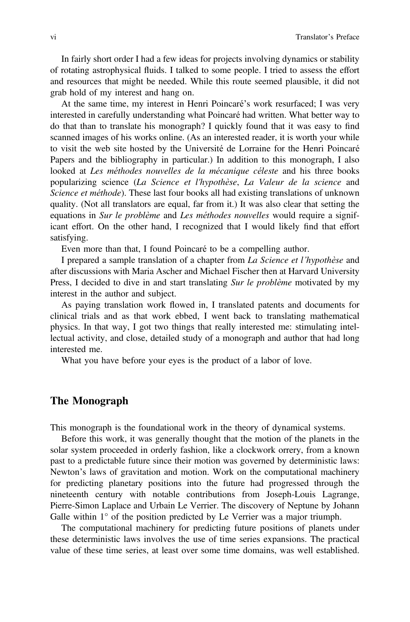vi Translator's Preface

In fairly short order I had a few ideas for projects involving dynamics or stability of rotating astrophysical fluids. I talked to some people. I tried to assess the effort and resources that might be needed. While this route seemed plausible, it did not grab hold of my interest and hang on.

At the same time, my interest in Henri Poincaré's work resurfaced; I was very interested in carefully understanding what Poincaré had written. What better way to do that than to translate his monograph? I quickly found that it was easy to find scanned images of his works online. (As an interested reader, it is worth your while to visit the web site hosted by the Université de Lorraine for the Henri Poincaré Papers and the bibliography in particular.) In addition to this monograph, I also looked at Les méthodes nouvelles de la mécanique céleste and his three books popularizing science (La Science et l'hypothèse, La Valeur de la science and Science et méthode). These last four books all had existing translations of unknown quality. (Not all translators are equal, far from it.) It was also clear that setting the equations in Sur le problème and Les méthodes nouvelles would require a significant effort. On the other hand, I recognized that I would likely find that effort satisfying.

Even more than that, I found Poincaré to be a compelling author.

I prepared a sample translation of a chapter from La Science et l'hypothèse and after discussions with Maria Ascher and Michael Fischer then at Harvard University Press, I decided to dive in and start translating Sur le problème motivated by my interest in the author and subject.

As paying translation work flowed in, I translated patents and documents for clinical trials and as that work ebbed, I went back to translating mathematical physics. In that way, I got two things that really interested me: stimulating intellectual activity, and close, detailed study of a monograph and author that had long interested me.

What you have before your eyes is the product of a labor of love.

#### The Monograph

This monograph is the foundational work in the theory of dynamical systems.

Before this work, it was generally thought that the motion of the planets in the solar system proceeded in orderly fashion, like a clockwork orrery, from a known past to a predictable future since their motion was governed by deterministic laws: Newton's laws of gravitation and motion. Work on the computational machinery for predicting planetary positions into the future had progressed through the nineteenth century with notable contributions from Joseph-Louis Lagrange, Pierre-Simon Laplace and Urbain Le Verrier. The discovery of Neptune by Johann Galle within 1° of the position predicted by Le Verrier was a major triumph.

The computational machinery for predicting future positions of planets under these deterministic laws involves the use of time series expansions. The practical value of these time series, at least over some time domains, was well established.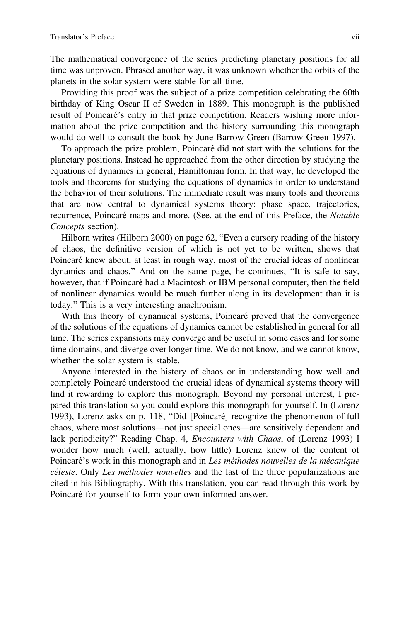The mathematical convergence of the series predicting planetary positions for all time was unproven. Phrased another way, it was unknown whether the orbits of the planets in the solar system were stable for all time.

Providing this proof was the subject of a prize competition celebrating the 60th birthday of King Oscar II of Sweden in 1889. This monograph is the published result of Poincaré's entry in that prize competition. Readers wishing more information about the prize competition and the history surrounding this monograph would do well to consult the book by June Barrow-Green (Barrow-Green 1997).

To approach the prize problem, Poincaré did not start with the solutions for the planetary positions. Instead he approached from the other direction by studying the equations of dynamics in general, Hamiltonian form. In that way, he developed the tools and theorems for studying the equations of dynamics in order to understand the behavior of their solutions. The immediate result was many tools and theorems that are now central to dynamical systems theory: phase space, trajectories, recurrence, Poincaré maps and more. (See, at the end of this Preface, the Notable Concepts section).

Hilborn writes (Hilborn 2000) on page 62, "Even a cursory reading of the history of chaos, the definitive version of which is not yet to be written, shows that Poincaré knew about, at least in rough way, most of the crucial ideas of nonlinear dynamics and chaos." And on the same page, he continues, "It is safe to say, however, that if Poincaré had a Macintosh or IBM personal computer, then the field of nonlinear dynamics would be much further along in its development than it is today." This is a very interesting anachronism.

With this theory of dynamical systems, Poincaré proved that the convergence of the solutions of the equations of dynamics cannot be established in general for all time. The series expansions may converge and be useful in some cases and for some time domains, and diverge over longer time. We do not know, and we cannot know, whether the solar system is stable.

Anyone interested in the history of chaos or in understanding how well and completely Poincaré understood the crucial ideas of dynamical systems theory will find it rewarding to explore this monograph. Beyond my personal interest, I prepared this translation so you could explore this monograph for yourself. In (Lorenz 1993), Lorenz asks on p. 118, "Did [Poincaré] recognize the phenomenon of full chaos, where most solutions—not just special ones—are sensitively dependent and lack periodicity?" Reading Chap. 4, *Encounters with Chaos*, of (Lorenz 1993) I wonder how much (well, actually, how little) Lorenz knew of the content of Poincaré's work in this monograph and in Les méthodes nouvelles de la mécanique céleste. Only Les méthodes nouvelles and the last of the three popularizations are cited in his Bibliography. With this translation, you can read through this work by Poincaré for yourself to form your own informed answer.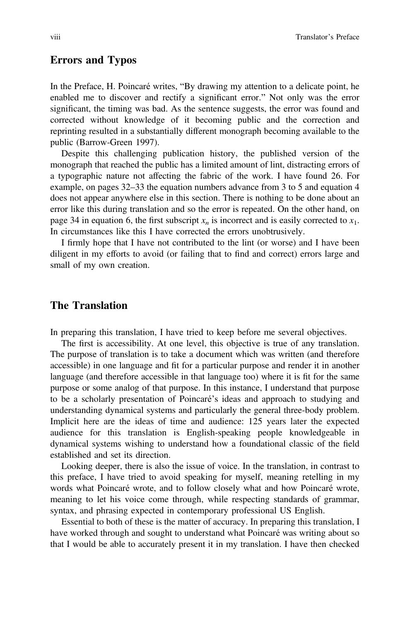#### Errors and Typos

In the Preface, H. Poincaré writes, "By drawing my attention to a delicate point, he enabled me to discover and rectify a significant error." Not only was the error significant, the timing was bad. As the sentence suggests, the error was found and corrected without knowledge of it becoming public and the correction and reprinting resulted in a substantially different monograph becoming available to the public (Barrow-Green 1997).

Despite this challenging publication history, the published version of the monograph that reached the public has a limited amount of lint, distracting errors of a typographic nature not affecting the fabric of the work. I have found 26. For example, on pages 32–33 the equation numbers advance from 3 to 5 and equation 4 does not appear anywhere else in this section. There is nothing to be done about an error like this during translation and so the error is repeated. On the other hand, on page 34 in equation 6, the first subscript  $x_n$  is incorrect and is easily corrected to  $x_1$ . In circumstances like this I have corrected the errors unobtrusively.

I firmly hope that I have not contributed to the lint (or worse) and I have been diligent in my efforts to avoid (or failing that to find and correct) errors large and small of my own creation.

#### The Translation

In preparing this translation, I have tried to keep before me several objectives.

The first is accessibility. At one level, this objective is true of any translation. The purpose of translation is to take a document which was written (and therefore accessible) in one language and fit for a particular purpose and render it in another language (and therefore accessible in that language too) where it is fit for the same purpose or some analog of that purpose. In this instance, I understand that purpose to be a scholarly presentation of Poincaré's ideas and approach to studying and understanding dynamical systems and particularly the general three-body problem. Implicit here are the ideas of time and audience: 125 years later the expected audience for this translation is English-speaking people knowledgeable in dynamical systems wishing to understand how a foundational classic of the field established and set its direction.

Looking deeper, there is also the issue of voice. In the translation, in contrast to this preface, I have tried to avoid speaking for myself, meaning retelling in my words what Poincaré wrote, and to follow closely what and how Poincaré wrote, meaning to let his voice come through, while respecting standards of grammar, syntax, and phrasing expected in contemporary professional US English.

Essential to both of these is the matter of accuracy. In preparing this translation, I have worked through and sought to understand what Poincaré was writing about so that I would be able to accurately present it in my translation. I have then checked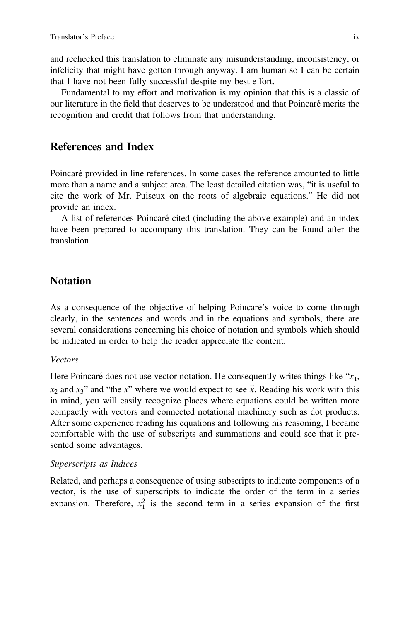and rechecked this translation to eliminate any misunderstanding, inconsistency, or infelicity that might have gotten through anyway. I am human so I can be certain that I have not been fully successful despite my best effort.

Fundamental to my effort and motivation is my opinion that this is a classic of our literature in the field that deserves to be understood and that Poincaré merits the recognition and credit that follows from that understanding.

### References and Index

Poincaré provided in line references. In some cases the reference amounted to little more than a name and a subject area. The least detailed citation was, "it is useful to cite the work of Mr. Puiseux on the roots of algebraic equations." He did not provide an index.

A list of references Poincaré cited (including the above example) and an index have been prepared to accompany this translation. They can be found after the translation.

#### Notation

As a consequence of the objective of helping Poincaré's voice to come through clearly, in the sentences and words and in the equations and symbols, there are several considerations concerning his choice of notation and symbols which should be indicated in order to help the reader appreciate the content.

#### Vectors

Here Poincaré does not use vector notation. He consequently writes things like " $x_1$ ,  $x_2$  and  $x_3$ " and "the x" where we would expect to see  $\bar{x}$ . Reading his work with this in mind, you will easily recognize places where equations could be written more compactly with vectors and connected notational machinery such as dot products. After some experience reading his equations and following his reasoning, I became comfortable with the use of subscripts and summations and could see that it presented some advantages.

#### Superscripts as Indices

Related, and perhaps a consequence of using subscripts to indicate components of a vector, is the use of superscripts to indicate the order of the term in a series expansion. Therefore,  $x_1^2$  is the second term in a series expansion of the first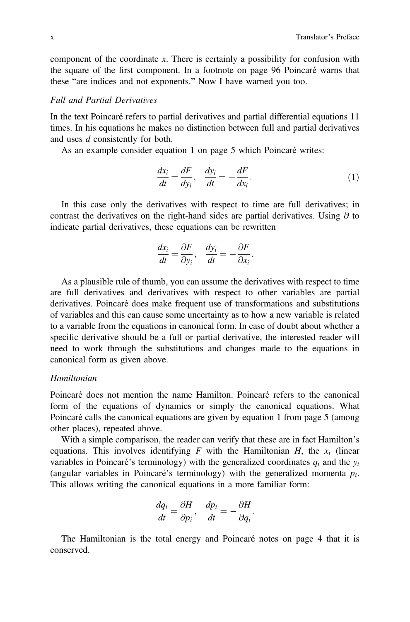component of the coordinate  $x$ . There is certainly a possibility for confusion with the square of the first component. In a footnote on page 96 Poincaré warns that these "are indices and not exponents." Now I have warned you too.

#### Full and Partial Derivatives

In the text Poincaré refers to partial derivatives and partial differential equations 11 times. In his equations he makes no distinction between full and partial derivatives and uses d consistently for both.

As an example consider equation 1 on page 5 which Poincaré writes:

$$
\frac{dx_i}{dt} = \frac{dF}{dy_i}, \quad \frac{dy_i}{dt} = -\frac{dF}{dx_i}.
$$
\n(1)

In this case only the derivatives with respect to time are full derivatives; in contrast the derivatives on the right-hand sides are partial derivatives. Using  $\partial$  to indicate partial derivatives, these equations can be rewritten

$$
\frac{dx_i}{dt} = \frac{\partial F}{\partial y_i}, \quad \frac{dy_i}{dt} = -\frac{\partial F}{\partial x_i}.
$$

As a plausible rule of thumb, you can assume the derivatives with respect to time are full derivatives and derivatives with respect to other variables are partial derivatives. Poincaré does make frequent use of transformations and substitutions of variables and this can cause some uncertainty as to how a new variable is related to a variable from the equations in canonical form. In case of doubt about whether a specific derivative should be a full or partial derivative, the interested reader will need to work through the substitutions and changes made to the equations in canonical form as given above.

#### Hamiltonian

Poincaré does not mention the name Hamilton. Poincaré refers to the canonical form of the equations of dynamics or simply the canonical equations. What Poincaré calls the canonical equations are given by equation 1 from page 5 (among other places), repeated above.

With a simple comparison, the reader can verify that these are in fact Hamilton's equations. This involves identifying F with the Hamiltonian H, the  $x_i$  (linear variables in Poincaré's terminology) with the generalized coordinates  $q_i$  and the  $y_i$ (angular variables in Poincaré's terminology) with the generalized momenta  $p_i$ . This allows writing the canonical equations in a more familiar form:

$$
\frac{dq_i}{dt} = \frac{\partial H}{\partial p_i}, \quad \frac{dp_i}{dt} = -\frac{\partial H}{\partial q_i}.
$$

The Hamiltonian is the total energy and Poincaré notes on page 4 that it is conserved.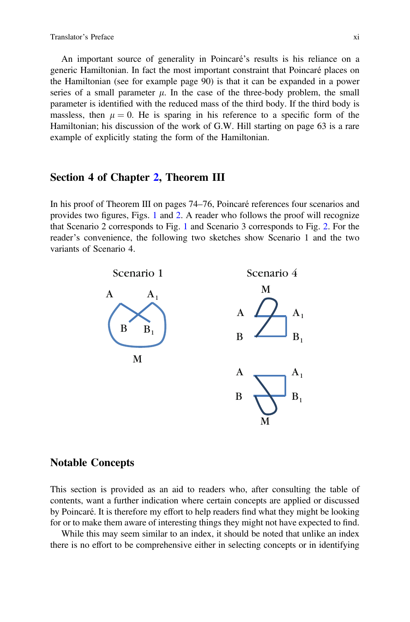An important source of generality in Poincaré's results is his reliance on a generic Hamiltonian. In fact the most important constraint that Poincaré places on the Hamiltonian (see for example page 90) is that it can be expanded in a power series of a small parameter  $\mu$ . In the case of the three-body problem, the small parameter is identified with the reduced mass of the third body. If the third body is massless, then  $\mu = 0$ . He is sparing in his reference to a specific form of the Hamiltonian; his discussion of the work of G.W. Hill starting on page 63 is a rare example of explicitly stating the form of the Hamiltonian.

# Section 4 of Chapter 2, Theorem III

In his proof of Theorem III on pages 74–76, Poincaré references four scenarios and provides two figures, Figs. 1 and 2. A reader who follows the proof will recognize that Scenario 2 corresponds to Fig. 1 and Scenario 3 corresponds to Fig. 2. For the reader's convenience, the following two sketches show Scenario 1 and the two variants of Scenario 4.



#### Notable Concepts

This section is provided as an aid to readers who, after consulting the table of contents, want a further indication where certain concepts are applied or discussed by Poincaré. It is therefore my effort to help readers find what they might be looking for or to make them aware of interesting things they might not have expected to find.

While this may seem similar to an index, it should be noted that unlike an index there is no effort to be comprehensive either in selecting concepts or in identifying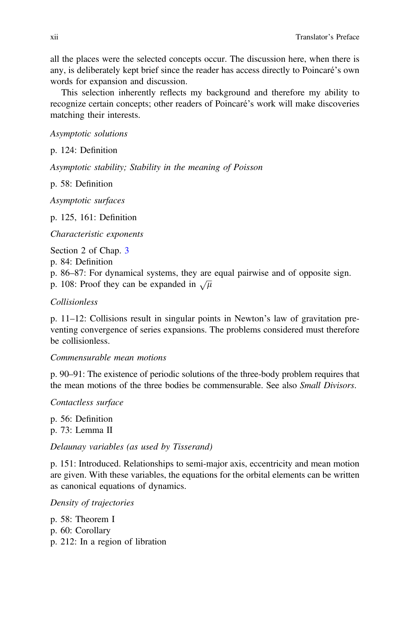xii Translator's Preface

all the places were the selected concepts occur. The discussion here, when there is any, is deliberately kept brief since the reader has access directly to Poincaré's own words for expansion and discussion.

This selection inherently reflects my background and therefore my ability to recognize certain concepts; other readers of Poincaré's work will make discoveries matching their interests.

Asymptotic solutions

p. 124: Definition

Asymptotic stability; Stability in the meaning of Poisson

p. 58: Definition

Asymptotic surfaces

p. 125, 161: Definition

Characteristic exponents

Section 2 of Chap. 3

p. 84: Definition

p. 86–87: For dynamical systems, they are equal pairwise and of opposite sign.

p. 80–87: For dynamical systems, they are<br>p. 108: Proof they can be expanded in  $\sqrt{\mu}$ 

Collisionless

p. 11–12: Collisions result in singular points in Newton's law of gravitation preventing convergence of series expansions. The problems considered must therefore be collisionless.

Commensurable mean motions

p. 90–91: The existence of periodic solutions of the three-body problem requires that the mean motions of the three bodies be commensurable. See also *Small Divisors*.

Contactless surface

p. 56: Definition p. 73: Lemma II

Delaunay variables (as used by Tisserand)

p. 151: Introduced. Relationships to semi-major axis, eccentricity and mean motion are given. With these variables, the equations for the orbital elements can be written as canonical equations of dynamics.

Density of trajectories

p. 58: Theorem I p. 60: Corollary p. 212: In a region of libration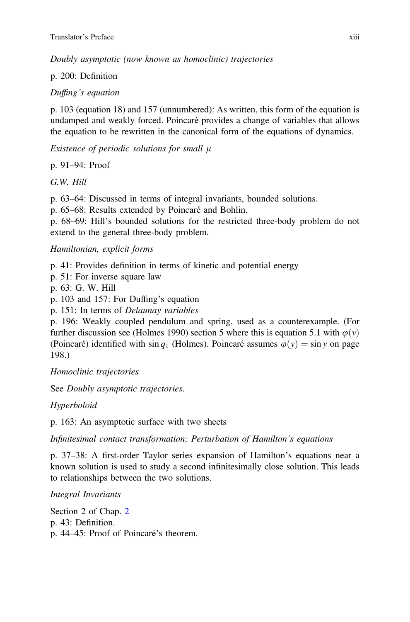Doubly asymptotic (now known as homoclinic) trajectories

## p. 200: Definition

## Duffing's equation

p. 103 (equation 18) and 157 (unnumbered): As written, this form of the equation is undamped and weakly forced. Poincaré provides a change of variables that allows the equation to be rewritten in the canonical form of the equations of dynamics.

Existence of periodic solutions for small u

p. 91–94: Proof

G.W. Hill

p. 63–64: Discussed in terms of integral invariants, bounded solutions.

p. 65–68: Results extended by Poincaré and Bohlin.

p. 68–69: Hill's bounded solutions for the restricted three-body problem do not extend to the general three-body problem.

## Hamiltonian, explicit forms

p. 41: Provides definition in terms of kinetic and potential energy

p. 51: For inverse square law

p. 63: G. W. Hill

p. 103 and 157: For Duffing's equation

p. 151: In terms of Delaunay variables

p. 196: Weakly coupled pendulum and spring, used as a counterexample. (For further discussion see (Holmes 1990) section 5 where this is equation 5.1 with  $\varphi(y)$ (Poincaré) identified with sin  $q_1$  (Holmes). Poincaré assumes  $\varphi(y) = \sin y$  on page 198.)

Homoclinic trajectories

See Doubly asymptotic trajectories.

Hyperboloid

p. 163: An asymptotic surface with two sheets

Infinitesimal contact transformation; Perturbation of Hamilton's equations

p. 37–38: A first-order Taylor series expansion of Hamilton's equations near a known solution is used to study a second infinitesimally close solution. This leads to relationships between the two solutions.

Integral Invariants

Section 2 of Chap. 2 p. 43: Definition. p. 44–45: Proof of Poincaré's theorem.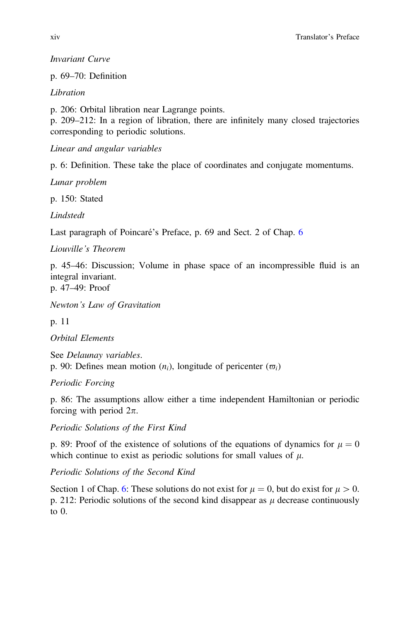Invariant Curve

p. 69–70: Definition

Libration

p. 206: Orbital libration near Lagrange points.

p. 209–212: In a region of libration, there are infinitely many closed trajectories corresponding to periodic solutions.

Linear and angular variables

p. 6: Definition. These take the place of coordinates and conjugate momentums.

Lunar problem

p. 150: Stated

Lindstedt

Last paragraph of Poincaré's Preface, p. 69 and Sect. 2 of Chap. 6

Liouville's Theorem

p. 45–46: Discussion; Volume in phase space of an incompressible fluid is an integral invariant.

p. 47–49: Proof

Newton's Law of Gravitation

p. 11

Orbital Elements

See Delaunay variables. p. 90: Defines mean motion  $(n_i)$ , longitude of pericenter  $(\varpi_i)$ 

Periodic Forcing

p. 86: The assumptions allow either a time independent Hamiltonian or periodic forcing with period  $2\pi$ .

Periodic Solutions of the First Kind

p. 89: Proof of the existence of solutions of the equations of dynamics for  $\mu = 0$ which continue to exist as periodic solutions for small values of  $\mu$ .

Periodic Solutions of the Second Kind

Section 1 of Chap. 6: These solutions do not exist for  $\mu = 0$ , but do exist for  $\mu > 0$ . p. 212: Periodic solutions of the second kind disappear as  $\mu$  decrease continuously to 0.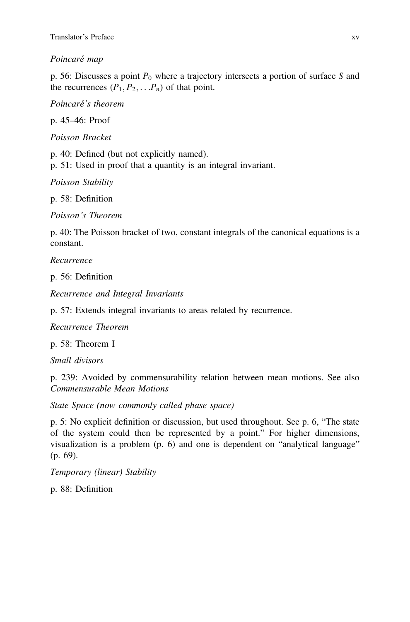Poincaré map

p. 56: Discusses a point  $P_0$  where a trajectory intersects a portion of surface S and the recurrences  $(P_1, P_2, \ldots, P_n)$  of that point.

Poincaré's theorem

p. 45–46: Proof

Poisson Bracket

p. 40: Defined (but not explicitly named).

p. 51: Used in proof that a quantity is an integral invariant.

Poisson Stability

p. 58: Definition

Poisson's Theorem

p. 40: The Poisson bracket of two, constant integrals of the canonical equations is a constant.

Recurrence

p. 56: Definition

Recurrence and Integral Invariants

p. 57: Extends integral invariants to areas related by recurrence.

Recurrence Theorem

p. 58: Theorem I

Small divisors

p. 239: Avoided by commensurability relation between mean motions. See also Commensurable Mean Motions

State Space (now commonly called phase space)

p. 5: No explicit definition or discussion, but used throughout. See p. 6, "The state of the system could then be represented by a point." For higher dimensions, visualization is a problem (p. 6) and one is dependent on "analytical language" (p. 69).

Temporary (linear) Stability

p. 88: Definition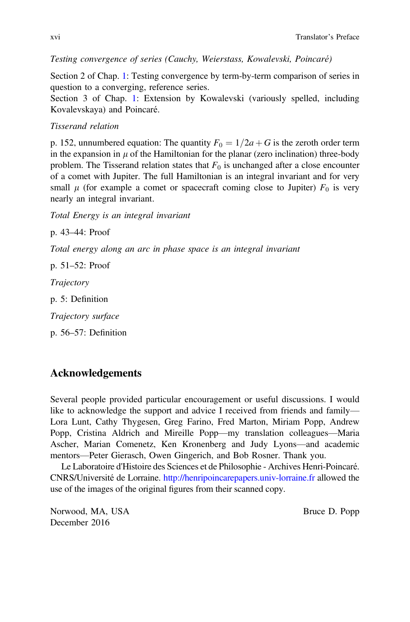Testing convergence of series (Cauchy, Weierstass, Kowalevski, Poincaré)

Section 2 of Chap. 1: Testing convergence by term-by-term comparison of series in question to a converging, reference series.

Section 3 of Chap. 1: Extension by Kowalevski (variously spelled, including Kovalevskaya) and Poincaré.

Tisserand relation

p. 152, unnumbered equation: The quantity  $F_0 = 1/2a + G$  is the zeroth order term in the expansion in  $\mu$  of the Hamiltonian for the planar (zero inclination) three-body problem. The Tisserand relation states that  $F_0$  is unchanged after a close encounter of a comet with Jupiter. The full Hamiltonian is an integral invariant and for very small  $\mu$  (for example a comet or spacecraft coming close to Jupiter)  $F_0$  is very nearly an integral invariant.

Total Energy is an integral invariant

p. 43–44: Proof

Total energy along an arc in phase space is an integral invariant

p. 51–52: Proof

**Trajectory** 

p. 5: Definition

Trajectory surface

p. 56–57: Definition

#### Acknowledgements

Several people provided particular encouragement or useful discussions. I would like to acknowledge the support and advice I received from friends and family— Lora Lunt, Cathy Thygesen, Greg Farino, Fred Marton, Miriam Popp, Andrew Popp, Cristina Aldrich and Mireille Popp—my translation colleagues—Maria Ascher, Marian Comenetz, Ken Kronenberg and Judy Lyons—and academic mentors—Peter Gierasch, Owen Gingerich, and Bob Rosner. Thank you.

Le Laboratoire d'Histoire des Sciences et de Philosophie - Archives Henri-Poincaré. CNRS/Université de Lorraine. http://henripoincarepapers.univ-lorraine.fr allowed the use of the images of the original figures from their scanned copy.

Norwood, MA, USA Bruce D. Popp December 2016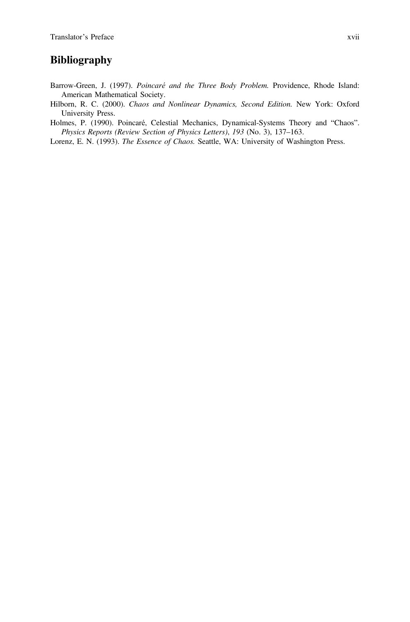## Bibliography

- Barrow-Green, J. (1997). Poincaré and the Three Body Problem. Providence, Rhode Island: American Mathematical Society.
- Hilborn, R. C. (2000). Chaos and Nonlinear Dynamics, Second Edition. New York: Oxford University Press.
- Holmes, P. (1990). Poincaré, Celestial Mechanics, Dynamical-Systems Theory and "Chaos". Physics Reports (Review Section of Physics Letters), 193 (No. 3), 137–163.
- Lorenz, E. N. (1993). The Essence of Chaos. Seattle, WA: University of Washington Press.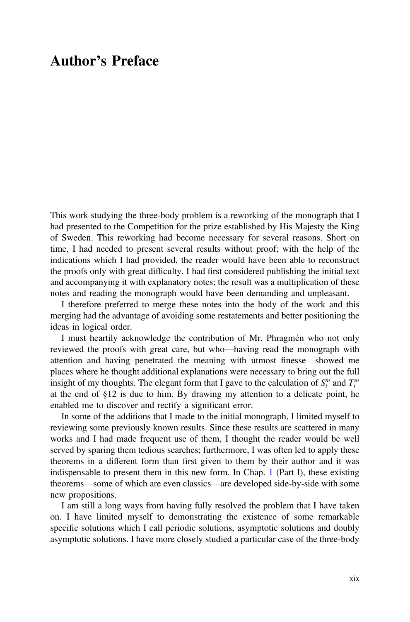# Author's Preface

This work studying the three-body problem is a reworking of the monograph that I had presented to the Competition for the prize established by His Majesty the King of Sweden. This reworking had become necessary for several reasons. Short on time, I had needed to present several results without proof; with the help of the indications which I had provided, the reader would have been able to reconstruct the proofs only with great difficulty. I had first considered publishing the initial text and accompanying it with explanatory notes; the result was a multiplication of these notes and reading the monograph would have been demanding and unpleasant.

I therefore preferred to merge these notes into the body of the work and this merging had the advantage of avoiding some restatements and better positioning the ideas in logical order.

I must heartily acknowledge the contribution of Mr. Phragmén who not only reviewed the proofs with great care, but who—having read the monograph with attention and having penetrated the meaning with utmost finesse—showed me places where he thought additional explanations were necessary to bring out the full insight of my thoughts. The elegant form that I gave to the calculation of  $S_i^m$  and  $T_i^m$ at the end of §12 is due to him. By drawing my attention to a delicate point, he enabled me to discover and rectify a significant error.

In some of the additions that I made to the initial monograph, I limited myself to reviewing some previously known results. Since these results are scattered in many works and I had made frequent use of them, I thought the reader would be well served by sparing them tedious searches; furthermore, I was often led to apply these theorems in a different form than first given to them by their author and it was indispensable to present them in this new form. In Chap. 1 (Part I), these existing theorems—some of which are even classics—are developed side-by-side with some new propositions.

I am still a long ways from having fully resolved the problem that I have taken on. I have limited myself to demonstrating the existence of some remarkable specific solutions which I call periodic solutions, asymptotic solutions and doubly asymptotic solutions. I have more closely studied a particular case of the three-body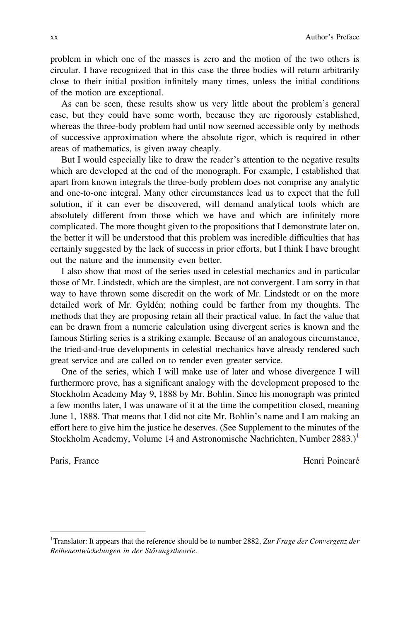problem in which one of the masses is zero and the motion of the two others is circular. I have recognized that in this case the three bodies will return arbitrarily close to their initial position infinitely many times, unless the initial conditions of the motion are exceptional.

As can be seen, these results show us very little about the problem's general case, but they could have some worth, because they are rigorously established, whereas the three-body problem had until now seemed accessible only by methods of successive approximation where the absolute rigor, which is required in other areas of mathematics, is given away cheaply.

But I would especially like to draw the reader's attention to the negative results which are developed at the end of the monograph. For example, I established that apart from known integrals the three-body problem does not comprise any analytic and one-to-one integral. Many other circumstances lead us to expect that the full solution, if it can ever be discovered, will demand analytical tools which are absolutely different from those which we have and which are infinitely more complicated. The more thought given to the propositions that I demonstrate later on, the better it will be understood that this problem was incredible difficulties that has certainly suggested by the lack of success in prior efforts, but I think I have brought out the nature and the immensity even better.

I also show that most of the series used in celestial mechanics and in particular those of Mr. Lindstedt, which are the simplest, are not convergent. I am sorry in that way to have thrown some discredit on the work of Mr. Lindstedt or on the more detailed work of Mr. Gyldén; nothing could be farther from my thoughts. The methods that they are proposing retain all their practical value. In fact the value that can be drawn from a numeric calculation using divergent series is known and the famous Stirling series is a striking example. Because of an analogous circumstance, the tried-and-true developments in celestial mechanics have already rendered such great service and are called on to render even greater service.

One of the series, which I will make use of later and whose divergence I will furthermore prove, has a significant analogy with the development proposed to the Stockholm Academy May 9, 1888 by Mr. Bohlin. Since his monograph was printed a few months later, I was unaware of it at the time the competition closed, meaning June 1, 1888. That means that I did not cite Mr. Bohlin's name and I am making an effort here to give him the justice he deserves. (See Supplement to the minutes of the Stockholm Academy, Volume 14 and Astronomische Nachrichten, Number 2883.)<sup>1</sup>

Paris, France Henri Poincaré

<sup>&</sup>lt;sup>1</sup>Translator: It appears that the reference should be to number 2882, Zur Frage der Convergenz der Reihenentwickelungen in der Störungstheorie.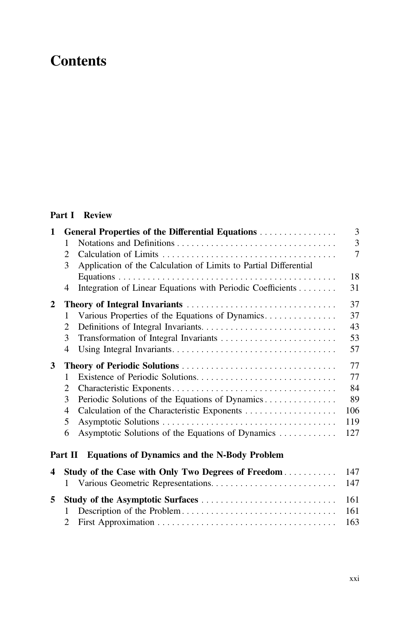# **Contents**

# Part I Review

| 1            |                | General Properties of the Differential Equations                 | 3              |
|--------------|----------------|------------------------------------------------------------------|----------------|
|              | 1              |                                                                  | 3              |
|              | 2              |                                                                  | $\overline{7}$ |
|              | 3              | Application of the Calculation of Limits to Partial Differential |                |
|              |                |                                                                  | 18             |
|              | 4              | Integration of Linear Equations with Periodic Coefficients       | 31             |
| $\mathbf{2}$ |                |                                                                  | 37             |
|              | 1              | Various Properties of the Equations of Dynamics                  | 37             |
|              | 2              |                                                                  | 43             |
|              | 3              |                                                                  | 53             |
|              | 4              |                                                                  | 57             |
| 3            |                |                                                                  | 77             |
|              | 1              |                                                                  | 77             |
|              | $\overline{2}$ |                                                                  | 84             |
|              | 3              | Periodic Solutions of the Equations of Dynamics                  | 89             |
|              | 4              |                                                                  | 106            |
|              | 5              |                                                                  | 119            |
|              | 6              | Asymptotic Solutions of the Equations of Dynamics                | 127            |
|              | Part II        | <b>Equations of Dynamics and the N-Body Problem</b>              |                |
| 4            |                | Study of the Case with Only Two Degrees of Freedom               | 147            |
|              | 1              |                                                                  | 147            |
| 5            |                |                                                                  | 161            |
|              | 1              |                                                                  | 161            |
|              | 2              |                                                                  | 163            |